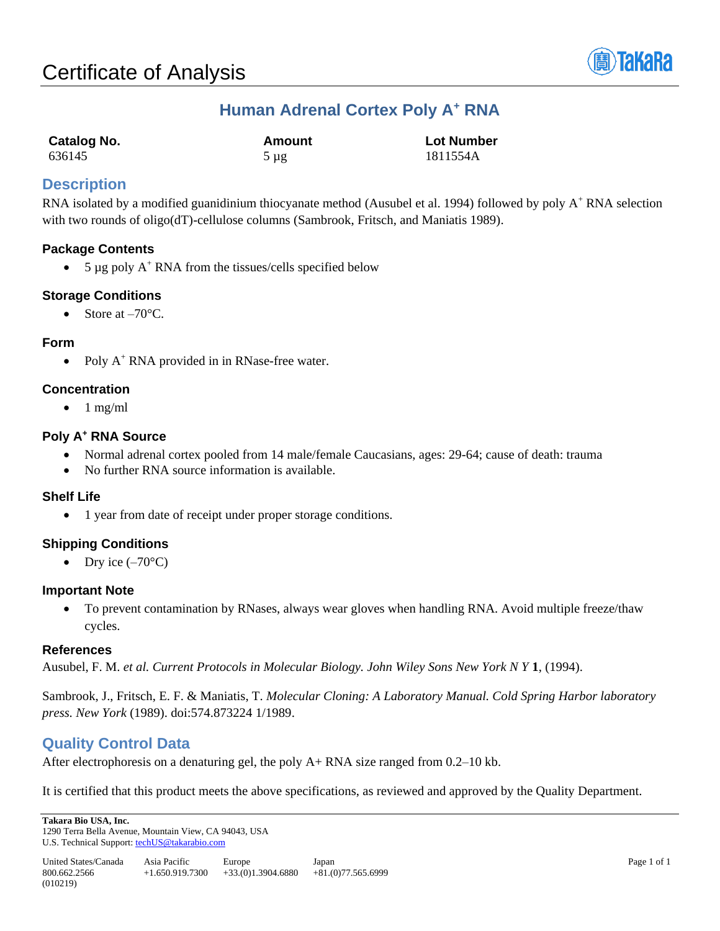

# **Human Adrenal Cortex Poly A<sup>+</sup> RNA**

| Catalog No. | Amount    | <b>Lot Number</b> |
|-------------|-----------|-------------------|
| 636145      | $5 \mu$ g | 1811554A          |

# **Description**

RNA isolated by a modified guanidinium thiocyanate method (Ausubel et al. 1994) followed by poly A<sup>+</sup> RNA selection with two rounds of oligo(dT)-cellulose columns (Sambrook, Fritsch, and Maniatis 1989).

# **Package Contents**

• 5  $\mu$ g poly A<sup>+</sup> RNA from the tissues/cells specified below

# **Storage Conditions**

• Store at  $-70^{\circ}$ C.

## **Form**

• Poly  $A^+$  RNA provided in in RNase-free water.

## **Concentration**

 $\bullet$  1 mg/ml

# **Poly A<sup>+</sup> RNA Source**

- Normal adrenal cortex pooled from 14 male/female Caucasians, ages: 29-64; cause of death: trauma
- No further RNA source information is available.

# **Shelf Life**

• 1 year from date of receipt under proper storage conditions.

# **Shipping Conditions**

• Dry ice  $(-70^{\circ}C)$ 

## **Important Note**

• To prevent contamination by RNases, always wear gloves when handling RNA. Avoid multiple freeze/thaw cycles.

## **References**

Ausubel, F. M. *et al. Current Protocols in Molecular Biology. John Wiley Sons New York N Y* **1**, (1994).

Sambrook, J., Fritsch, E. F. & Maniatis, T. *Molecular Cloning: A Laboratory Manual. Cold Spring Harbor laboratory press. New York* (1989). doi:574.873224 1/1989.

# **Quality Control Data**

After electrophoresis on a denaturing gel, the poly A+ RNA size ranged from 0.2–10 kb.

It is certified that this product meets the above specifications, as reviewed and approved by the Quality Department.

**Takara Bio USA, Inc.**  1290 Terra Bella Avenue, Mountain View, CA 94043, USA U.S. Technical Support[: techUS@takarabio.com](mailto:techUS@takarabio.com)